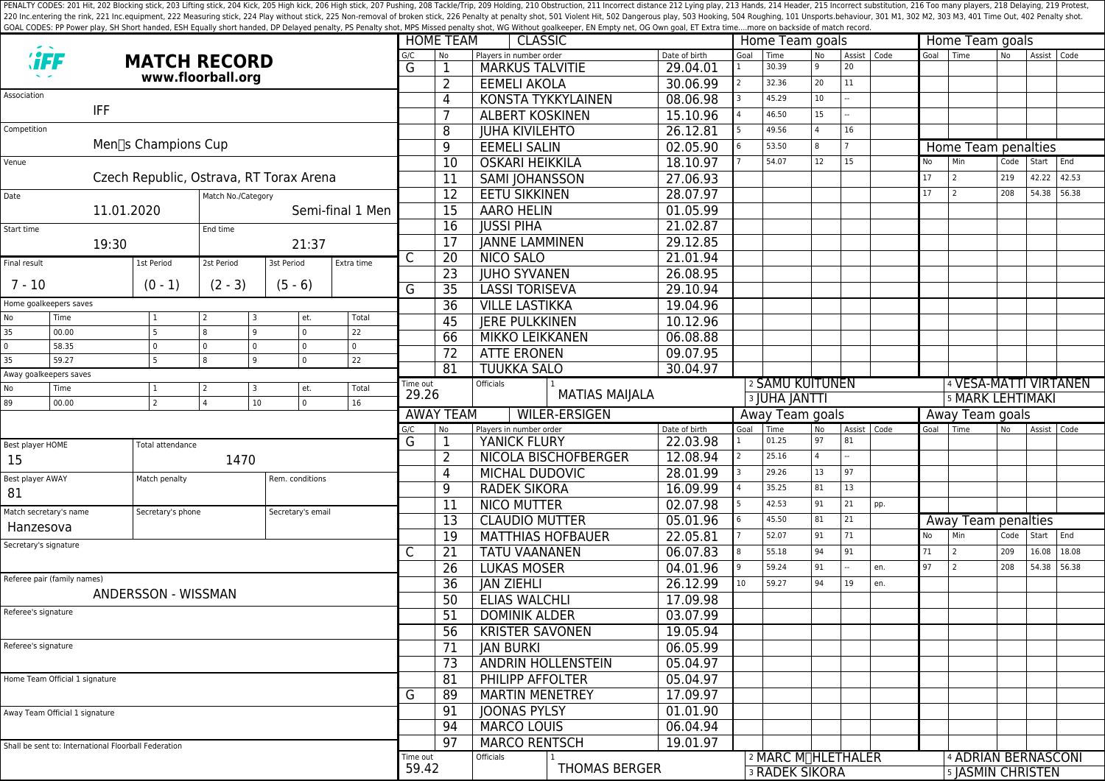PENALTY CODES: 201 Hit, 202 Blocking stick, 203 Lifting stick, 204 Kick, 204 Kick, 205 High kick, 204 Kick, 205 High kick, 206 High stick, 206 High stick, 206 High stick, 206 High stick, 207 Pushing, 208 Tackle/Trip, 209 H 220 Inc.entering the rink, 221 Inc.equipment, 222 Measuring stick, 224 Play without stick, 225 Non-removal of broken stick, 225 Poralty shot, 501 Violent Hit, 502 Dangerous play, 503 Hooking, 504 Roughing, 101 Unsports.beh GOAL CODES: PP Power play, SH Short handed, ESH Equally short handed, DP Delayed penalty, PS Penalty shot, MPS Missed penalty shot, WG Without goalkeeper, EN Empty net, OG Own goal, ET Extra time....more on backside of mat

|                                                                                      |                                                      |                         |                     |                   |                       |                     | <b>HOME TEAM</b><br><b>CLASSIC</b>              |                                                |                           |                           |                                  | Home Team goals                                          |                |    |               |                                  | Home Team goals                |                |             |       |  |  |
|--------------------------------------------------------------------------------------|------------------------------------------------------|-------------------------|---------------------|-------------------|-----------------------|---------------------|-------------------------------------------------|------------------------------------------------|---------------------------|---------------------------|----------------------------------|----------------------------------------------------------|----------------|----|---------------|----------------------------------|--------------------------------|----------------|-------------|-------|--|--|
|                                                                                      |                                                      |                         | <b>MATCH RECORD</b> |                   |                       | G/C<br>G            | No.                                             | Players in number order                        |                           | Date of birth             | Goal<br>$\mathbf{1}$             | Time<br>30.39                                            | <b>No</b><br>9 | 20 | Assist   Code |                                  | Goal Time                      | N <sub>o</sub> | Assist Code |       |  |  |
|                                                                                      |                                                      |                         | www.floorball.org   |                   |                       |                     | 1<br>2                                          | <b>MARKUS TALVITIE</b><br><b>EEMELI AKOLA</b>  |                           | 29.04.01<br>30.06.99      |                                  | 32.36                                                    | 20             | 11 |               |                                  |                                |                |             |       |  |  |
| Association                                                                          |                                                      |                         |                     |                   |                       |                     | 4                                               |                                                | <b>KONSTA TYKKYLAINEN</b> | 08.06.98                  |                                  | 45.29                                                    | 10             |    |               |                                  |                                |                |             |       |  |  |
|                                                                                      | IFF                                                  |                         |                     |                   |                       |                     |                                                 | <b>ALBERT KOSKINEN</b>                         |                           | 15.10.96                  |                                  | 46.50                                                    | 15             |    |               |                                  |                                |                |             |       |  |  |
| Competition                                                                          |                                                      |                         |                     |                   |                       |                     |                                                 | <b>JUHA KIVILEHTO</b>                          |                           | 26.12.81                  |                                  | 49.56                                                    |                | 16 |               |                                  |                                |                |             |       |  |  |
|                                                                                      |                                                      | Men∏s Champions Cup     |                     |                   |                       |                     | 8                                               |                                                |                           |                           |                                  | 53.50                                                    |                |    |               |                                  |                                |                |             |       |  |  |
|                                                                                      |                                                      |                         |                     |                   |                       |                     | 9                                               | <b>EEMELI SALIN</b>                            |                           | 02.05.90                  |                                  | 54.07                                                    | 12             | 15 |               | No                               | Home Team penalties<br>Min     | Code           | Start       | End   |  |  |
| Venue                                                                                |                                                      |                         |                     |                   |                       |                     | 10                                              | <b>OSKARI HEIKKILA</b>                         |                           | 18.10.97                  |                                  |                                                          |                |    |               | 17                               | 2                              | 219            | 42.22       | 42.53 |  |  |
| Czech Republic, Ostrava, RT Torax Arena                                              |                                                      |                         |                     |                   |                       |                     | 11                                              | <b>SAMI JOHANSSON</b>                          |                           | 27.06.93                  |                                  |                                                          |                |    |               |                                  | $\overline{2}$                 |                |             |       |  |  |
| Date<br>Match No./Category                                                           |                                                      |                         |                     |                   |                       |                     | $\overline{12}$                                 | <b>EETU SIKKINEN</b>                           |                           | 28.07.97                  |                                  |                                                          |                |    |               | 17                               |                                | 208            | 54.38       | 56.38 |  |  |
| 11.01.2020<br>Semi-final 1 Men                                                       |                                                      |                         |                     |                   |                       |                     | 15                                              | <b>AARO HELIN</b>                              |                           | 01.05.99                  |                                  |                                                          |                |    |               |                                  |                                |                |             |       |  |  |
| End time<br>Start time                                                               |                                                      |                         |                     |                   |                       |                     | 16                                              | <b>JUSSI PIHA</b>                              | 21.02.87                  |                           |                                  |                                                          |                |    |               |                                  |                                |                |             |       |  |  |
| 19:30<br>21:37                                                                       |                                                      |                         |                     | $\overline{17}$   | <b>JANNE LAMMINEN</b> |                     | 29.12.85                                        |                                                |                           |                           |                                  |                                                          |                |    |               |                                  |                                |                |             |       |  |  |
| Final result                                                                         |                                                      | 1st Period              | 2st Period          | 3st Period        | Extra time            | C                   | 20                                              | <b>NICO SALO</b>                               |                           | 21.01.94                  |                                  |                                                          |                |    |               |                                  |                                |                |             |       |  |  |
| $7 - 10$                                                                             |                                                      | $(0 - 1)$               | $(2 - 3)$           | $(5 - 6)$         |                       |                     | 23                                              | <b>JUHO SYVANEN</b><br><b>LASSI TORISEVA</b>   |                           | 26.08.95                  | 29.10.94                         |                                                          |                |    |               |                                  |                                |                |             |       |  |  |
|                                                                                      |                                                      |                         |                     |                   |                       | G                   | 35                                              |                                                |                           |                           |                                  |                                                          |                |    |               |                                  |                                |                |             |       |  |  |
| Home goalkeepers saves                                                               |                                                      |                         |                     |                   |                       |                     | 36                                              | <b>VILLE LASTIKKA</b>                          |                           | 19.04.96                  |                                  |                                                          |                |    |               |                                  |                                |                |             |       |  |  |
| No<br>35                                                                             | Time<br>00.00                                        | 5                       | 8<br>q              | et.<br>$\circ$    | Total<br>22           |                     | 45                                              | <b>JERE PULKKINEN</b>                          |                           | 10.12.96                  |                                  |                                                          |                |    |               |                                  |                                |                |             |       |  |  |
| 0                                                                                    | 58.35                                                | $\Omega$                | 0<br>$\Omega$       | $\overline{0}$    | $\mathbf 0$           |                     | 66                                              | <b>MIKKO LEIKKANEN</b>                         |                           | 06.08.88                  |                                  |                                                          |                |    |               |                                  |                                |                |             |       |  |  |
| 35                                                                                   | 59.27                                                | 5.                      | 8<br>q              | $\overline{0}$    | 22                    |                     | 72                                              | <b>ATTE ERONEN</b>                             |                           | 09.07.95                  |                                  |                                                          |                |    |               |                                  |                                |                |             |       |  |  |
| Away goalkeepers saves                                                               |                                                      |                         |                     |                   |                       |                     | 81                                              | <b>TUUKKA SALO</b>                             |                           | 30.04.97                  |                                  |                                                          |                |    |               |                                  |                                |                |             |       |  |  |
| No                                                                                   | Time                                                 |                         |                     | et.               | Total                 | Time out<br>29.26   |                                                 | Officials                                      |                           |                           |                                  | 2 SAMU KUITUNEN                                          |                |    |               | <sup>4</sup> VESA-MATTI VIRTANEN |                                |                |             |       |  |  |
| $\overline{0}$<br>89<br>$\overline{2}$<br>10 <sup>°</sup><br>00.00<br>$\overline{a}$ |                                                      |                         |                     | 16                |                       |                     |                                                 | <b>MATIAS MAIJALA</b>                          |                           |                           | <b>3 JUHA JANTTI</b>             |                                                          |                |    |               | 5 MARK LEHTIMAKI                 |                                |                |             |       |  |  |
|                                                                                      |                                                      |                         |                     |                   |                       |                     | <b>AWAY TEAM</b><br><b>WILER-ERSIGEN</b><br>G/C |                                                |                           |                           | Away Team goals<br>Assist   Code |                                                          |                |    |               | Away Team goals                  |                                |                |             |       |  |  |
|                                                                                      |                                                      |                         |                     |                   |                       |                     | No.<br>1                                        | Players in number order<br><b>YANICK FLURY</b> |                           | Date of birth<br>22.03.98 | Goal                             | Time<br>01.25                                            | No<br>97       | 81 |               | Goal                             | l Time                         | No.            | Assist Code |       |  |  |
| Best player HOME                                                                     |                                                      | <b>Total attendance</b> |                     |                   | G                     | 2                   |                                                 | NICOLA BISCHOFBERGER                           | 12.08.94                  |                           | 25.16                            |                                                          |                |    |               |                                  |                                |                |             |       |  |  |
| 15                                                                                   |                                                      | 1470                    |                     |                   |                       | 4                   | MICHAL DUDOVIC                                  |                                                | 28.01.99                  |                           | 29.26                            | 13                                                       | 97             |    |               |                                  |                                |                |             |       |  |  |
| Best player AWAY                                                                     |                                                      | Match penalty           |                     | Rem. conditions   |                       | 9                   | <b>RADEK SIKORA</b>                             |                                                | 16.09.99                  |                           | 35.25                            | 81                                                       | 13             |    |               |                                  |                                |                |             |       |  |  |
| 81                                                                                   |                                                      |                         |                     |                   |                       |                     |                                                 | <b>NICO MUTTER</b>                             |                           | 02.07.98                  |                                  | 42.53                                                    | 91             | 21 | pp.           |                                  |                                |                |             |       |  |  |
| Match secretary's name                                                               |                                                      | Secretary's phone       |                     | Secretary's email |                       |                     | 11                                              | <b>CLAUDIO MUTTER</b>                          |                           | 05.01.96                  |                                  | 45.50                                                    | 81             | 21 |               |                                  |                                |                |             |       |  |  |
| Hanzesova                                                                            |                                                      |                         |                     |                   |                       |                     | 13<br>19                                        |                                                | <b>MATTHIAS HOFBAUER</b>  | 22.05.81                  |                                  | 52.07                                                    | 91             | 71 |               | No                               | Away Team penalties<br>Min     | Code           | Start End   |       |  |  |
| Secretary's signature                                                                |                                                      |                         |                     |                   | C                     |                     | <b>TATU VAANANEN</b>                            |                                                | 06.07.83                  |                           | 55.18                            | 94                                                       | 91             |    | 71            | $\overline{2}$                   | 209                            | 16.08          | 18.08       |       |  |  |
|                                                                                      |                                                      |                         |                     |                   |                       |                     | 21<br>26                                        | <b>LUKAS MOSER</b>                             |                           | 04.01.96                  |                                  | 59.24                                                    | 91             |    | en.           | 97                               | $\overline{2}$                 | 208            | 54.38       | 56.38 |  |  |
|                                                                                      | Referee pair (family names)                          |                         |                     |                   |                       |                     |                                                 |                                                |                           |                           | 10 <sup>°</sup>                  | 59.27                                                    | 94             | 19 | en.           |                                  |                                |                |             |       |  |  |
|                                                                                      |                                                      | ANDERSSON - WISSMAN     |                     |                   |                       |                     | 36<br>50                                        | <b>JAN ZIEHLI</b><br><b>ELIAS WALCHLI</b>      |                           | 26.12.99<br>17.09.98      |                                  |                                                          |                |    |               |                                  |                                |                |             |       |  |  |
| Referee's signature                                                                  |                                                      |                         |                     |                   |                       |                     |                                                 |                                                |                           |                           |                                  |                                                          |                |    |               |                                  |                                |                |             |       |  |  |
|                                                                                      |                                                      |                         |                     |                   |                       |                     | 51                                              | <b>DOMINIK ALDER</b>                           |                           | 03.07.99                  |                                  |                                                          |                |    |               |                                  |                                |                |             |       |  |  |
| Referee's signature                                                                  |                                                      |                         |                     |                   |                       |                     | 56                                              | <b>KRISTER SAVONEN</b><br><b>JAN BURKI</b>     |                           | 19.05.94                  |                                  |                                                          |                |    |               |                                  |                                |                |             |       |  |  |
|                                                                                      |                                                      |                         |                     |                   |                       |                     | 71                                              |                                                |                           | 06.05.99                  |                                  |                                                          |                |    |               |                                  |                                |                |             |       |  |  |
|                                                                                      |                                                      |                         |                     |                   |                       |                     | 73                                              | ANDRIN HOLLENSTEIN                             |                           | 05.04.97                  |                                  |                                                          |                |    |               |                                  |                                |                |             |       |  |  |
| Home Team Official 1 signature                                                       |                                                      |                         |                     |                   |                       |                     | 81                                              | PHILIPP AFFOLTER<br><b>MARTIN MENETREY</b>     |                           | 05.04.97                  |                                  |                                                          |                |    |               |                                  |                                |                |             |       |  |  |
|                                                                                      |                                                      |                         |                     |                   |                       |                     | 89                                              |                                                |                           | 17.09.97                  |                                  |                                                          |                |    |               |                                  |                                |                |             |       |  |  |
| Away Team Official 1 signature                                                       |                                                      |                         |                     |                   | 91                    | <b>JOONAS PYLSY</b> |                                                 | 01.01.90                                       |                           |                           |                                  |                                                          |                |    |               |                                  |                                |                |             |       |  |  |
|                                                                                      |                                                      |                         |                     |                   |                       | 94                  | <b>MARCO LOUIS</b>                              |                                                | 06.04.94                  |                           |                                  |                                                          |                |    |               |                                  |                                |                |             |       |  |  |
|                                                                                      | Shall be sent to: International Floorball Federation |                         |                     |                   |                       |                     | 97                                              | <b>MARCO RENTSCH</b>                           |                           | 19.01.97                  |                                  |                                                          |                |    |               |                                  |                                |                |             |       |  |  |
|                                                                                      |                                                      |                         |                     |                   |                       | Time out<br>59.42   |                                                 | <b>Officials</b>                               | <b>THOMAS BERGER</b>      |                           |                                  | 2 MARC M <sub>I</sub> HLETHALER<br><b>3 RADEK SIKORA</b> |                |    |               |                                  | <sup>4</sup> ADRIAN BERNASCONI |                |             |       |  |  |
|                                                                                      |                                                      |                         |                     |                   |                       |                     |                                                 |                                                |                           |                           |                                  |                                                          |                |    |               |                                  | 5 JASMIN CHRISTEN              |                |             |       |  |  |